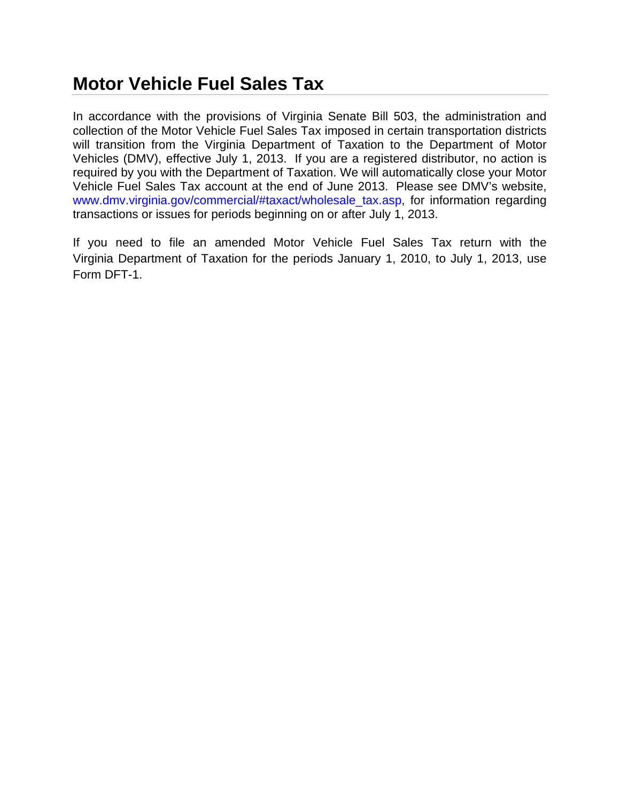## **Motor Vehicle Fuel Sales Tax**

In accordance with the provisions of Virginia Senate Bill 503, the administration and collection of the Motor Vehicle Fuel Sales Tax imposed in certain transportation districts will transition from the Virginia Department of Taxation to the Department of Motor Vehicles (DMV), effective July 1, 2013. If you are a registered distributor, no action is required by you with the Department of Taxation. We will automatically close your Motor Vehicle Fuel Sales Tax account at the end of June 2013. Please see DMV's website, www.dmv.virginia.gov/commercial/#taxact/wholesale\_tax.asp, for information regarding transactions or issues for periods beginning on or after July 1, 2013.

If you need to file an amended Motor Vehicle Fuel Sales Tax return with the Virginia Department of Taxation for the periods January 1, 2010, to July 1, 2013, use Form DFT-1.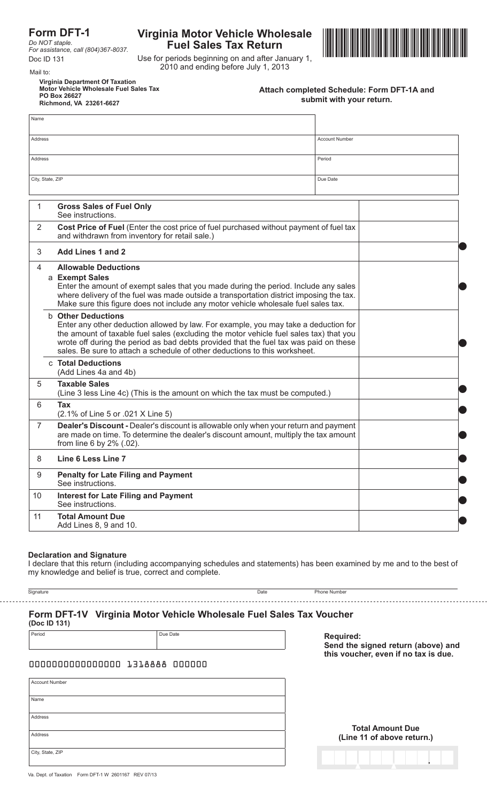### **Form DFT-1**

*Do NOT staple.*

# **Fuel Sales Tax Return**



Use for periods beginning on and after January 1, 2010 and ending before July 1, 2013 Mail to:

**Virginia Department Of Taxation Motor Vehicle Wholesale Fuel Sales Tax PO Box 26627 Richmond, VA 23261-6627**

| Attach completed Schedule: Form DFT-1A and |  |
|--------------------------------------------|--|
| submit with your return.                   |  |

| Name                                                                                                                                                                                                                       |                                                                                                                                                                                                                                                                                                                                                                                   |                                                                                                                                          |          |  |  |
|----------------------------------------------------------------------------------------------------------------------------------------------------------------------------------------------------------------------------|-----------------------------------------------------------------------------------------------------------------------------------------------------------------------------------------------------------------------------------------------------------------------------------------------------------------------------------------------------------------------------------|------------------------------------------------------------------------------------------------------------------------------------------|----------|--|--|
| Address                                                                                                                                                                                                                    |                                                                                                                                                                                                                                                                                                                                                                                   |                                                                                                                                          |          |  |  |
| Address                                                                                                                                                                                                                    |                                                                                                                                                                                                                                                                                                                                                                                   |                                                                                                                                          |          |  |  |
| City, State, ZIP                                                                                                                                                                                                           |                                                                                                                                                                                                                                                                                                                                                                                   |                                                                                                                                          | Due Date |  |  |
|                                                                                                                                                                                                                            |                                                                                                                                                                                                                                                                                                                                                                                   |                                                                                                                                          |          |  |  |
| 1                                                                                                                                                                                                                          |                                                                                                                                                                                                                                                                                                                                                                                   | <b>Gross Sales of Fuel Only</b><br>See instructions.                                                                                     |          |  |  |
| 2                                                                                                                                                                                                                          |                                                                                                                                                                                                                                                                                                                                                                                   | Cost Price of Fuel (Enter the cost price of fuel purchased without payment of fuel tax<br>and withdrawn from inventory for retail sale.) |          |  |  |
| 3                                                                                                                                                                                                                          |                                                                                                                                                                                                                                                                                                                                                                                   | Add Lines 1 and 2                                                                                                                        |          |  |  |
|                                                                                                                                                                                                                            | 4<br><b>Allowable Deductions</b><br>a Exempt Sales<br>Enter the amount of exempt sales that you made during the period. Include any sales<br>where delivery of the fuel was made outside a transportation district imposing the tax.<br>Make sure this figure does not include any motor vehicle wholesale fuel sales tax.                                                        |                                                                                                                                          |          |  |  |
|                                                                                                                                                                                                                            | <b>b</b> Other Deductions<br>Enter any other deduction allowed by law. For example, you may take a deduction for<br>the amount of taxable fuel sales (excluding the motor vehicle fuel sales tax) that you<br>wrote off during the period as bad debts provided that the fuel tax was paid on these<br>sales. Be sure to attach a schedule of other deductions to this worksheet. |                                                                                                                                          |          |  |  |
|                                                                                                                                                                                                                            |                                                                                                                                                                                                                                                                                                                                                                                   | c Total Deductions<br>(Add Lines 4a and 4b)                                                                                              |          |  |  |
| 5                                                                                                                                                                                                                          |                                                                                                                                                                                                                                                                                                                                                                                   | <b>Taxable Sales</b><br>(Line 3 less Line 4c) (This is the amount on which the tax must be computed.)                                    |          |  |  |
| 6                                                                                                                                                                                                                          |                                                                                                                                                                                                                                                                                                                                                                                   | Tax<br>(2.1% of Line 5 or .021 X Line 5)                                                                                                 |          |  |  |
| $\overline{7}$<br>Dealer's Discount - Dealer's discount is allowable only when your return and payment<br>are made on time. To determine the dealer's discount amount, multiply the tax amount<br>from line 6 by 2% (.02). |                                                                                                                                                                                                                                                                                                                                                                                   |                                                                                                                                          |          |  |  |
| Line 6 Less Line 7<br>8                                                                                                                                                                                                    |                                                                                                                                                                                                                                                                                                                                                                                   |                                                                                                                                          |          |  |  |
| 9                                                                                                                                                                                                                          |                                                                                                                                                                                                                                                                                                                                                                                   | <b>Penalty for Late Filing and Payment</b><br>See instructions.                                                                          |          |  |  |
| 10<br><b>Interest for Late Filing and Payment</b><br>See instructions.                                                                                                                                                     |                                                                                                                                                                                                                                                                                                                                                                                   |                                                                                                                                          |          |  |  |
| 11                                                                                                                                                                                                                         |                                                                                                                                                                                                                                                                                                                                                                                   | <b>Total Amount Due</b><br>Add Lines 8, 9 and 10.                                                                                        |          |  |  |

#### **Declaration and Signature**

I declare that this return (including accompanying schedules and statements) has been examined by me and to the best of my knowledge and belief is true, correct and complete.

| ×<br>× | ٧ |  |
|--------|---|--|
|        |   |  |

Signature Phone Number (Note that the Second Laborator Control of the Date Phone Number (Note that the Phone Number

#### -----------------------**Form DFT-1V Virginia Motor Vehicle Wholesale Fuel Sales Tax Voucher**

**(Doc ID 131)**

Period Due Date

**Required: Send the signed return (above) and this voucher, even if no tax is due.**

#### 0000000000000000 1318888 000000

| <b>Account Number</b> |
|-----------------------|
|                       |
| Name                  |
|                       |
| Address               |
|                       |
| Address               |
|                       |
| City, State, ZIP      |
|                       |

**Total Amount Due (Line 11 of above return.)**

.